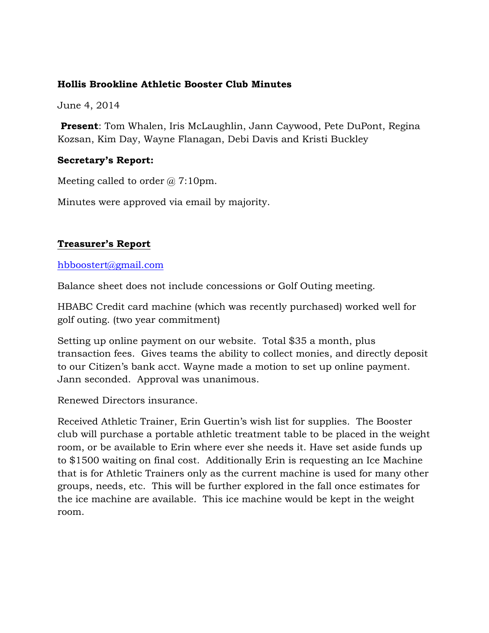## **Hollis Brookline Athletic Booster Club Minutes**

June 4, 2014

**Present**: Tom Whalen, Iris McLaughlin, Jann Caywood, Pete DuPont, Regina Kozsan, Kim Day, Wayne Flanagan, Debi Davis and Kristi Buckley

# **Secretary's Report:**

Meeting called to order  $\omega$  7:10pm.

Minutes were approved via email by majority.

# **Treasurer's Report**

## hbboostert@gmail.com

Balance sheet does not include concessions or Golf Outing meeting.

HBABC Credit card machine (which was recently purchased) worked well for golf outing. (two year commitment)

Setting up online payment on our website. Total \$35 a month, plus transaction fees. Gives teams the ability to collect monies, and directly deposit to our Citizen's bank acct. Wayne made a motion to set up online payment. Jann seconded. Approval was unanimous.

Renewed Directors insurance.

Received Athletic Trainer, Erin Guertin's wish list for supplies. The Booster club will purchase a portable athletic treatment table to be placed in the weight room, or be available to Erin where ever she needs it. Have set aside funds up to \$1500 waiting on final cost. Additionally Erin is requesting an Ice Machine that is for Athletic Trainers only as the current machine is used for many other groups, needs, etc. This will be further explored in the fall once estimates for the ice machine are available. This ice machine would be kept in the weight room.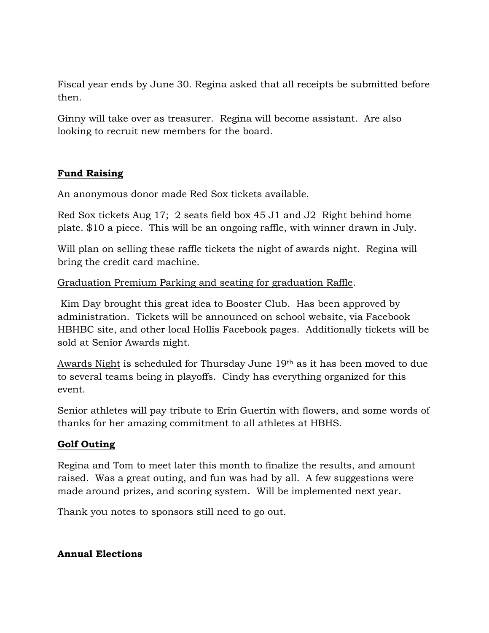Fiscal year ends by June 30. Regina asked that all receipts be submitted before then.

Ginny will take over as treasurer. Regina will become assistant. Are also looking to recruit new members for the board.

# **Fund Raising**

An anonymous donor made Red Sox tickets available.

Red Sox tickets Aug 17; 2 seats field box 45 J1 and J2 Right behind home plate. \$10 a piece. This will be an ongoing raffle, with winner drawn in July.

Will plan on selling these raffle tickets the night of awards night. Regina will bring the credit card machine.

## Graduation Premium Parking and seating for graduation Raffle.

Kim Day brought this great idea to Booster Club. Has been approved by administration. Tickets will be announced on school website, via Facebook HBHBC site, and other local Hollis Facebook pages. Additionally tickets will be sold at Senior Awards night.

Awards Night is scheduled for Thursday June 19<sup>th</sup> as it has been moved to due to several teams being in playoffs. Cindy has everything organized for this event.

Senior athletes will pay tribute to Erin Guertin with flowers, and some words of thanks for her amazing commitment to all athletes at HBHS.

# **Golf Outing**

Regina and Tom to meet later this month to finalize the results, and amount raised. Was a great outing, and fun was had by all. A few suggestions were made around prizes, and scoring system. Will be implemented next year.

Thank you notes to sponsors still need to go out.

# **Annual Elections**